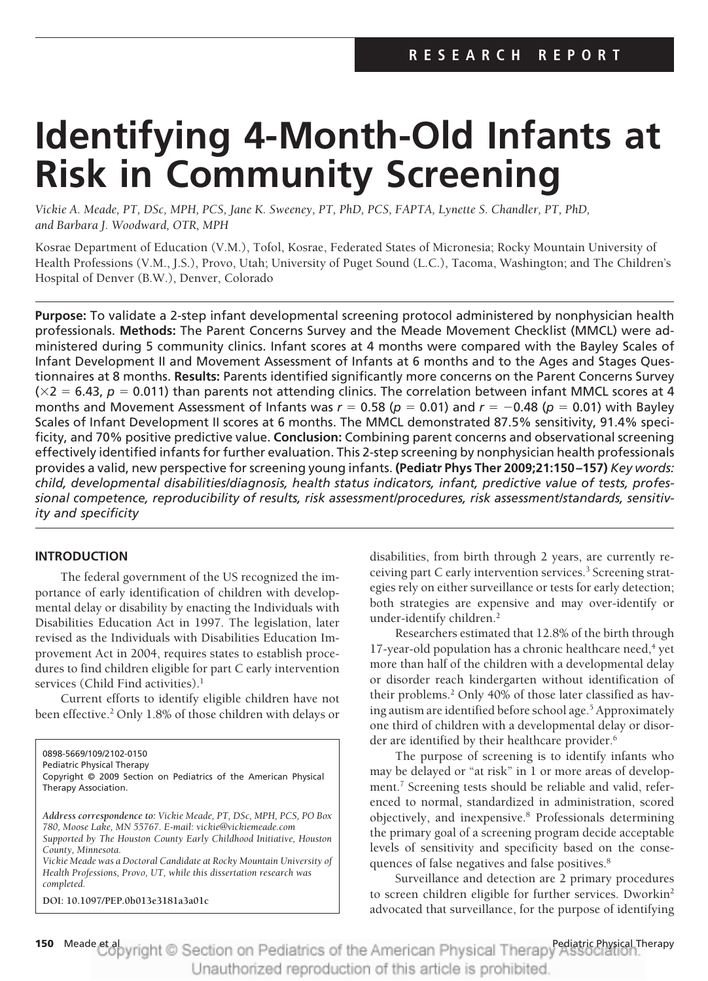# **Identifying 4-Month-Old Infants at Risk in Community Screening**

*Vickie A. Meade, PT, DSc, MPH, PCS, Jane K. Sweeney, PT, PhD, PCS, FAPTA, Lynette S. Chandler, PT, PhD, and Barbara J. Woodward, OTR, MPH*

Kosrae Department of Education (V.M.), Tofol, Kosrae, Federated States of Micronesia; Rocky Mountain University of Health Professions (V.M., J.S.), Provo, Utah; University of Puget Sound (L.C.), Tacoma, Washington; and The Children's Hospital of Denver (B.W.), Denver, Colorado

**Purpose:** To validate a 2-step infant developmental screening protocol administered by nonphysician health professionals. **Methods:** The Parent Concerns Survey and the Meade Movement Checklist (MMCL) were administered during 5 community clinics. Infant scores at 4 months were compared with the Bayley Scales of Infant Development II and Movement Assessment of Infants at 6 months and to the Ages and Stages Questionnaires at 8 months. **Results:** Parents identified significantly more concerns on the Parent Concerns Survey ( $\times$ 2 = 6.43, *p* = 0.011) than parents not attending clinics. The correlation between infant MMCL scores at 4 months and Movement Assessment of Infants was  $r = 0.58$  ( $p = 0.01$ ) and  $r = -0.48$  ( $p = 0.01$ ) with Bayley Scales of Infant Development II scores at 6 months. The MMCL demonstrated 87.5% sensitivity, 91.4% specificity, and 70% positive predictive value. **Conclusion:** Combining parent concerns and observational screening effectively identified infants for further evaluation. This 2-step screening by nonphysician health professionals provides a valid, new perspective for screening young infants. **(Pediatr Phys Ther 2009;21:150 –157)** *Key words: child, developmental disabilities/diagnosis, health status indicators, infant, predictive value of tests, professional competence, reproducibility of results, risk assessment/procedures, risk assessment/standards, sensitivity and specificity*

# **INTRODUCTION**

The federal government of the US recognized the importance of early identification of children with developmental delay or disability by enacting the Individuals with Disabilities Education Act in 1997. The legislation, later revised as the Individuals with Disabilities Education Improvement Act in 2004, requires states to establish procedures to find children eligible for part C early intervention services (Child Find activities).<sup>1</sup>

Current efforts to identify eligible children have not been effective.<sup>2</sup> Only 1.8% of those children with delays or

0898-5669/109/2102-0150

Pediatric Physical Therapy Copyright © 2009 Section on Pediatrics of the American Physical Therapy Association.

*Address correspondence to: Vickie Meade, PT, DSc, MPH, PCS, PO Box 780, Moose Lake, MN 55767. E-mail: vickie@vickiemeade.com Supported by The Houston County Early Childhood Initiative, Houston County, Minnesota. Vickie Meade was a Doctoral Candidate at Rocky Mountain University of*

*Health Professions, Provo, UT, while this dissertation research was completed.*

**DOI: 10.1097/PEP.0b013e3181a3a01c**

disabilities, from birth through 2 years, are currently receiving part C early intervention services.<sup>3</sup> Screening strategies rely on either surveillance or tests for early detection; both strategies are expensive and may over-identify or under-identify children.<sup>2</sup>

Researchers estimated that 12.8% of the birth through 17-year-old population has a chronic healthcare need, $4$  yet more than half of the children with a developmental delay or disorder reach kindergarten without identification of their problems.2 Only 40% of those later classified as having autism are identified before school age.<sup>5</sup> Approximately one third of children with a developmental delay or disorder are identified by their healthcare provider.<sup>6</sup>

The purpose of screening is to identify infants who may be delayed or "at risk" in 1 or more areas of development.<sup>7</sup> Screening tests should be reliable and valid, referenced to normal, standardized in administration, scored objectively, and inexpensive.8 Professionals determining the primary goal of a screening program decide acceptable levels of sensitivity and specificity based on the consequences of false negatives and false positives.<sup>8</sup>

Surveillance and detection are 2 primary procedures to screen children eligible for further services. Dworkin2 advocated that surveillance, for the purpose of identifying

150 Meade et apyright © Section on Pediatrics of the American Physical Therapy Association. Unauthorized reproduction of this article is prohibited.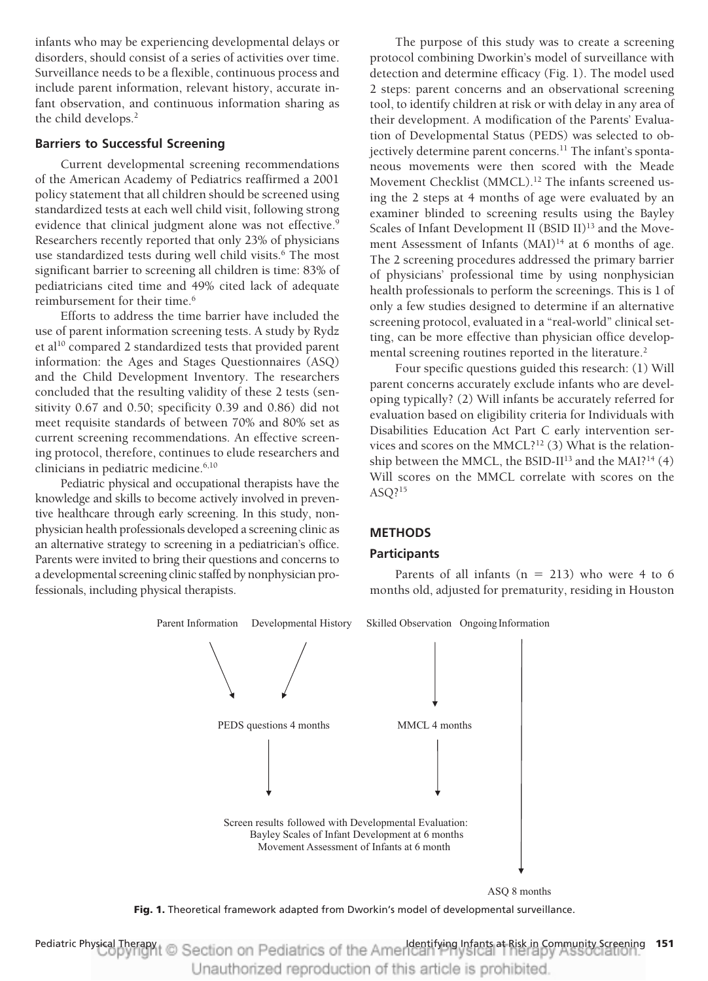infants who may be experiencing developmental delays or disorders, should consist of a series of activities over time. Surveillance needs to be a flexible, continuous process and include parent information, relevant history, accurate infant observation, and continuous information sharing as the child develops.<sup>2</sup>

## **Barriers to Successful Screening**

Current developmental screening recommendations of the American Academy of Pediatrics reaffirmed a 2001 policy statement that all children should be screened using standardized tests at each well child visit, following strong evidence that clinical judgment alone was not effective.<sup>9</sup> Researchers recently reported that only 23% of physicians use standardized tests during well child visits.<sup>6</sup> The most significant barrier to screening all children is time: 83% of pediatricians cited time and 49% cited lack of adequate reimbursement for their time.<sup>6</sup>

Efforts to address the time barrier have included the use of parent information screening tests. A study by Rydz et al<sup>10</sup> compared 2 standardized tests that provided parent information: the Ages and Stages Questionnaires (ASQ) and the Child Development Inventory. The researchers concluded that the resulting validity of these 2 tests (sensitivity 0.67 and 0.50; specificity 0.39 and 0.86) did not meet requisite standards of between 70% and 80% set as current screening recommendations. An effective screening protocol, therefore, continues to elude researchers and clinicians in pediatric medicine.<sup>6,10</sup>

Pediatric physical and occupational therapists have the knowledge and skills to become actively involved in preventive healthcare through early screening. In this study, nonphysician health professionals developed a screening clinic as an alternative strategy to screening in a pediatrician's office. Parents were invited to bring their questions and concerns to a developmental screening clinic staffed by nonphysician professionals, including physical therapists.

The purpose of this study was to create a screening protocol combining Dworkin's model of surveillance with detection and determine efficacy (Fig. 1). The model used 2 steps: parent concerns and an observational screening tool, to identify children at risk or with delay in any area of their development. A modification of the Parents' Evaluation of Developmental Status (PEDS) was selected to objectively determine parent concerns.<sup>11</sup> The infant's spontaneous movements were then scored with the Meade Movement Checklist (MMCL).<sup>12</sup> The infants screened using the 2 steps at 4 months of age were evaluated by an examiner blinded to screening results using the Bayley Scales of Infant Development II (BSID II)<sup>13</sup> and the Movement Assessment of Infants (MAI)<sup>14</sup> at 6 months of age. The 2 screening procedures addressed the primary barrier of physicians' professional time by using nonphysician health professionals to perform the screenings. This is 1 of only a few studies designed to determine if an alternative screening protocol, evaluated in a "real-world" clinical setting, can be more effective than physician office developmental screening routines reported in the literature.<sup>2</sup>

Four specific questions guided this research: (1) Will parent concerns accurately exclude infants who are developing typically? (2) Will infants be accurately referred for evaluation based on eligibility criteria for Individuals with Disabilities Education Act Part C early intervention services and scores on the MMCL?<sup>12</sup> (3) What is the relationship between the MMCL, the BSID-II<sup>13</sup> and the MAI?<sup>14</sup> (4) Will scores on the MMCL correlate with scores on the ASQ?15

## **METHODS**

#### **Participants**

Parents of all infants  $(n = 213)$  who were 4 to 6 months old, adjusted for prematurity, residing in Houston



ASQ 8 months

**Fig. 1.** Theoretical framework adapted from Dworkin's model of developmental surveillance.

Pediatric Physical Therapy I<sub>dentify</sub> Section on Pediatrics of the American Infants at Risk in Community Screening 151 Unauthorized reproduction of this article is prohibited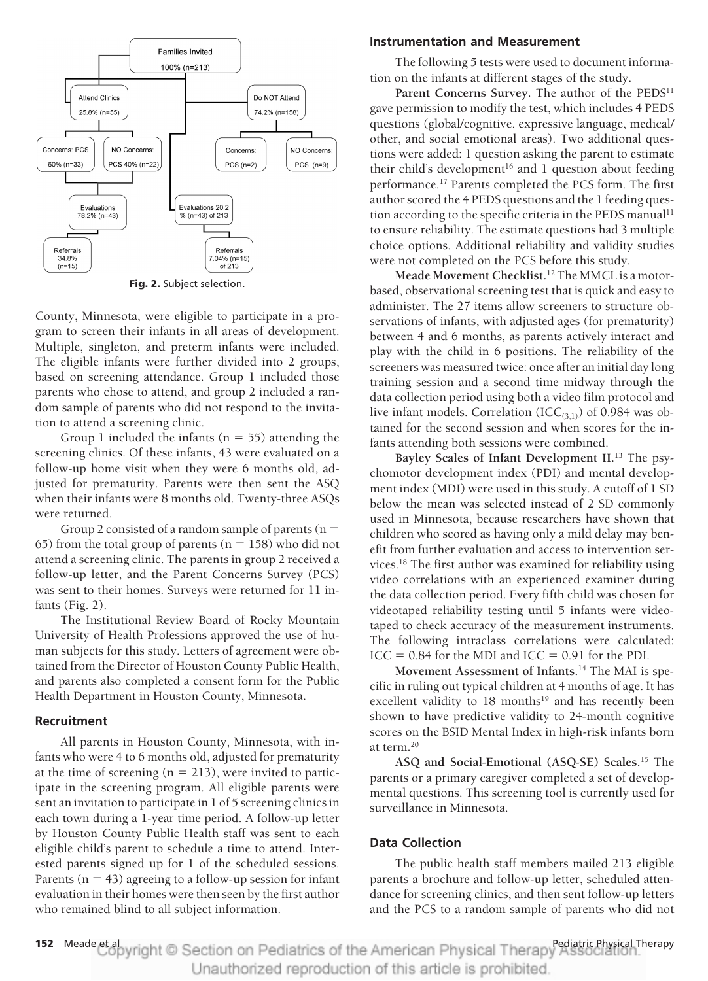

**Fig. 2.** Subject selection.

County, Minnesota, were eligible to participate in a program to screen their infants in all areas of development. Multiple, singleton, and preterm infants were included. The eligible infants were further divided into 2 groups, based on screening attendance. Group 1 included those parents who chose to attend, and group 2 included a random sample of parents who did not respond to the invitation to attend a screening clinic.

Group 1 included the infants ( $n = 55$ ) attending the screening clinics. Of these infants, 43 were evaluated on a follow-up home visit when they were 6 months old, adjusted for prematurity. Parents were then sent the ASQ when their infants were 8 months old. Twenty-three ASQs were returned.

Group 2 consisted of a random sample of parents ( $n =$ 65) from the total group of parents ( $n = 158$ ) who did not attend a screening clinic. The parents in group 2 received a follow-up letter, and the Parent Concerns Survey (PCS) was sent to their homes. Surveys were returned for 11 infants (Fig. 2).

The Institutional Review Board of Rocky Mountain University of Health Professions approved the use of human subjects for this study. Letters of agreement were obtained from the Director of Houston County Public Health, and parents also completed a consent form for the Public Health Department in Houston County, Minnesota.

## **Recruitment**

All parents in Houston County, Minnesota, with infants who were 4 to 6 months old, adjusted for prematurity at the time of screening  $(n = 213)$ , were invited to participate in the screening program. All eligible parents were sent an invitation to participate in 1 of 5 screening clinics in each town during a 1-year time period. A follow-up letter by Houston County Public Health staff was sent to each eligible child's parent to schedule a time to attend. Interested parents signed up for 1 of the scheduled sessions. Parents ( $n = 43$ ) agreeing to a follow-up session for infant evaluation in their homes were then seen by the first author who remained blind to all subject information.

## **Instrumentation and Measurement**

The following 5 tests were used to document information on the infants at different stages of the study.

Parent Concerns Survey. The author of the PEDS<sup>11</sup> gave permission to modify the test, which includes 4 PEDS questions (global/cognitive, expressive language, medical/ other, and social emotional areas). Two additional questions were added: 1 question asking the parent to estimate their child's development<sup>16</sup> and 1 question about feeding performance.17 Parents completed the PCS form. The first author scored the 4 PEDS questions and the 1 feeding question according to the specific criteria in the PEDS manual<sup>11</sup> to ensure reliability. The estimate questions had 3 multiple choice options. Additional reliability and validity studies were not completed on the PCS before this study.

**Meade Movement Checklist.**<sup>12</sup> The MMCL is a motorbased, observational screening test that is quick and easy to administer. The 27 items allow screeners to structure observations of infants, with adjusted ages (for prematurity) between 4 and 6 months, as parents actively interact and play with the child in 6 positions. The reliability of the screeners was measured twice: once after an initial day long training session and a second time midway through the data collection period using both a video film protocol and live infant models. Correlation  $(ICC_{(3,1)})$  of 0.984 was obtained for the second session and when scores for the infants attending both sessions were combined.

**Bayley Scales of Infant Development II.**<sup>13</sup> The psychomotor development index (PDI) and mental development index (MDI) were used in this study. A cutoff of 1 SD below the mean was selected instead of 2 SD commonly used in Minnesota, because researchers have shown that children who scored as having only a mild delay may benefit from further evaluation and access to intervention services.18 The first author was examined for reliability using video correlations with an experienced examiner during the data collection period. Every fifth child was chosen for videotaped reliability testing until 5 infants were videotaped to check accuracy of the measurement instruments. The following intraclass correlations were calculated:  $ICC = 0.84$  for the MDI and  $ICC = 0.91$  for the PDI.

**Movement Assessment of Infants.**<sup>14</sup> The MAI is specific in ruling out typical children at 4 months of age. It has excellent validity to 18 months<sup>19</sup> and has recently been shown to have predictive validity to 24-month cognitive scores on the BSID Mental Index in high-risk infants born at term.20

**ASQ and Social-Emotional (ASQ-SE) Scales.**<sup>15</sup> The parents or a primary caregiver completed a set of developmental questions. This screening tool is currently used for surveillance in Minnesota.

# **Data Collection**

The public health staff members mailed 213 eligible parents a brochure and follow-up letter, scheduled attendance for screening clinics, and then sent follow-up letters and the PCS to a random sample of parents who did not

152 Meade et apyright © Section on Pediatrics of the American Physical Therapy<sup>Pediatric Physical Therapy</sup> Unauthorized reproduction of this article is prohibited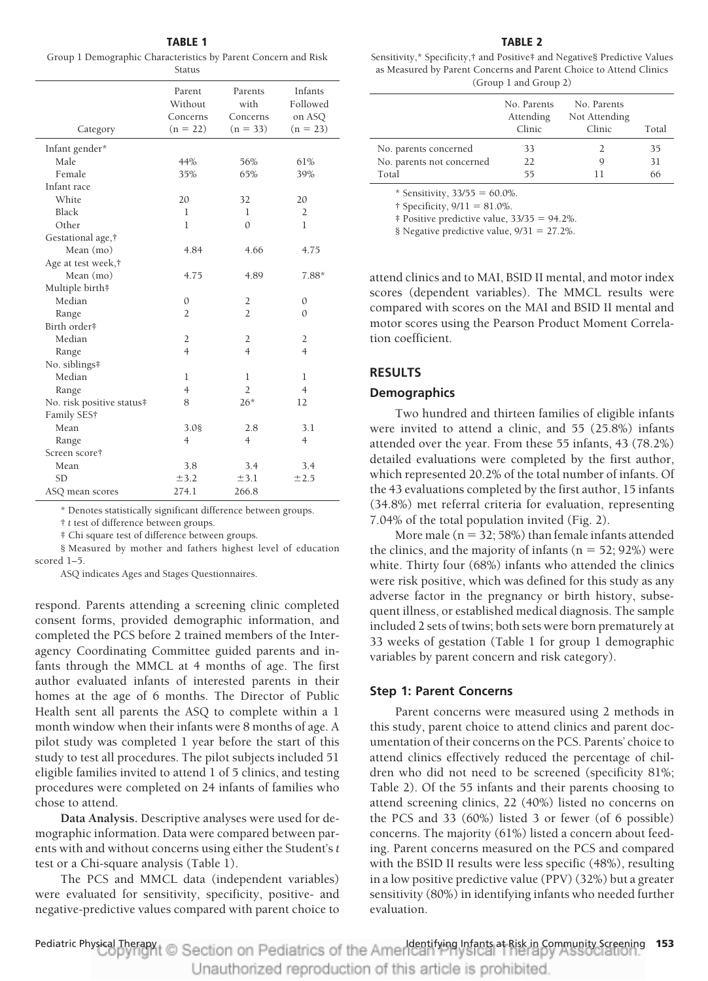**TABLE 1** Group 1 Demographic Characteristics by Parent Concern and Risk Status

| Category                  | Parent<br>Without<br>Concerns<br>$(n = 22)$ | Parents<br>with<br>Concerns<br>$(n = 33)$ | Infants<br>Followed<br>on ASQ<br>$(n = 23)$ |
|---------------------------|---------------------------------------------|-------------------------------------------|---------------------------------------------|
| Infant gender*            |                                             |                                           |                                             |
| Male                      | 44%                                         | 56%                                       | 61%                                         |
| Female                    | 35%                                         | 65%                                       | 39%                                         |
| Infant race               |                                             |                                           |                                             |
| White                     | 20                                          | 32                                        | 20                                          |
| Black                     | 1                                           | 1                                         | $\overline{2}$                              |
| Other                     | 1                                           | $\Omega$                                  | 1                                           |
| Gestational age,†         |                                             |                                           |                                             |
| Mean (mo)                 | 4.84                                        | 4.66                                      | 4.75                                        |
| Age at test week,†        |                                             |                                           |                                             |
| Mean (mo)                 | 4.75                                        | 4.89                                      | $7.88*$                                     |
| Multiple birth#           |                                             |                                           |                                             |
| Median                    | $\Omega$                                    | $\overline{2}$                            | $\mathbf{0}$                                |
| Range                     | $\overline{2}$                              | $\overline{2}$                            | $\Omega$                                    |
| Birth order#              |                                             |                                           |                                             |
| Median                    | 2                                           | 2                                         | $\overline{2}$                              |
| Range                     | $\overline{4}$                              | $\overline{4}$                            | $\overline{4}$                              |
| No. siblings#             |                                             |                                           |                                             |
| Median                    | 1                                           | 1                                         | 1                                           |
| Range                     | $\overline{4}$                              | $\overline{2}$                            | $\overline{4}$                              |
| No. risk positive status# | 8                                           | $26*$                                     | 12                                          |
| Family SES†               |                                             |                                           |                                             |
| Mean                      | 3.08                                        | 2.8                                       | 3.1                                         |
| Range                     | $\overline{4}$                              | $\overline{4}$                            | $\overline{4}$                              |
| Screen score†             |                                             |                                           |                                             |
| Mean                      | 3.8                                         | 3.4                                       | 3.4                                         |
| <b>SD</b>                 | ±3.2                                        | ±3.1                                      | ±2.5                                        |
| ASQ mean scores           | 274.1                                       | 266.8                                     |                                             |

\* Denotes statistically significant difference between groups.

† *t* test of difference between groups.

‡ Chi square test of difference between groups.

§ Measured by mother and fathers highest level of education scored 1–5.

ASQ indicates Ages and Stages Questionnaires.

respond. Parents attending a screening clinic completed consent forms, provided demographic information, and completed the PCS before 2 trained members of the Interagency Coordinating Committee guided parents and infants through the MMCL at 4 months of age. The first author evaluated infants of interested parents in their homes at the age of 6 months. The Director of Public Health sent all parents the ASQ to complete within a 1 month window when their infants were 8 months of age. A pilot study was completed 1 year before the start of this study to test all procedures. The pilot subjects included 51 eligible families invited to attend 1 of 5 clinics, and testing procedures were completed on 24 infants of families who chose to attend.

**Data Analysis.** Descriptive analyses were used for demographic information. Data were compared between parents with and without concerns using either the Student's *t* test or a Chi-square analysis (Table 1).

The PCS and MMCL data (independent variables) were evaluated for sensitivity, specificity, positive- and negative-predictive values compared with parent choice to

#### **TABLE 2**

Sensitivity,\* Specificity,† and Positive‡ and Negative§ Predictive Values as Measured by Parent Concerns and Parent Choice to Attend Clinics (Group 1 and Group 2)

|                                    | No. Parents<br>Attending<br>Clinic | No. Parents<br>Not Attending<br>Clinic | Total |
|------------------------------------|------------------------------------|----------------------------------------|-------|
| No. parents concerned              | 33                                 |                                        | 35    |
| No. parents not concerned          | 22                                 |                                        | 31    |
| Total                              | 55                                 | 11                                     | 66    |
| $\mathbf{r}$ and $\mathbf{r}$<br>. | $\sim$ $\sim$ $\sim$ $\sim$        |                                        |       |

\* Sensitivity,  $33/55 = 60.0\%$ .

 $\dagger$  Specificity,  $9/11 = 81.0\%$ .

 $\ddagger$  Positive predictive value, 33/35 = 94.2%.

§ Negative predictive value,  $9/31 = 27.2\%$ .

attend clinics and to MAI, BSID II mental, and motor index scores (dependent variables). The MMCL results were compared with scores on the MAI and BSID II mental and motor scores using the Pearson Product Moment Correlation coefficient.

#### **RESULTS**

#### **Demographics**

Two hundred and thirteen families of eligible infants were invited to attend a clinic, and 55 (25.8%) infants attended over the year. From these 55 infants, 43 (78.2%) detailed evaluations were completed by the first author, which represented 20.2% of the total number of infants. Of the 43 evaluations completed by the first author, 15 infants (34.8%) met referral criteria for evaluation, representing 7.04% of the total population invited (Fig. 2).

More male (n = 32; 58%) than female infants attended the clinics, and the majority of infants  $(n = 52; 92%)$  were white. Thirty four (68%) infants who attended the clinics were risk positive, which was defined for this study as any adverse factor in the pregnancy or birth history, subsequent illness, or established medical diagnosis. The sample included 2 sets of twins; both sets were born prematurely at 33 weeks of gestation (Table 1 for group 1 demographic variables by parent concern and risk category).

#### **Step 1: Parent Concerns**

Parent concerns were measured using 2 methods in this study, parent choice to attend clinics and parent documentation of their concerns on the PCS. Parents' choice to attend clinics effectively reduced the percentage of children who did not need to be screened (specificity 81%; Table 2). Of the 55 infants and their parents choosing to attend screening clinics, 22 (40%) listed no concerns on the PCS and 33 (60%) listed 3 or fewer (of 6 possible) concerns. The majority (61%) listed a concern about feeding. Parent concerns measured on the PCS and compared with the BSID II results were less specific (48%), resulting in a low positive predictive value (PPV) (32%) but a greater sensitivity (80%) in identifying infants who needed further evaluation.

Pediatric Physical Therapy I<sub>dentify</sub> Section on Pediatrics of the American Infants at Risk in Community Screening 153 Unauthorized reproduction of this article is prohibited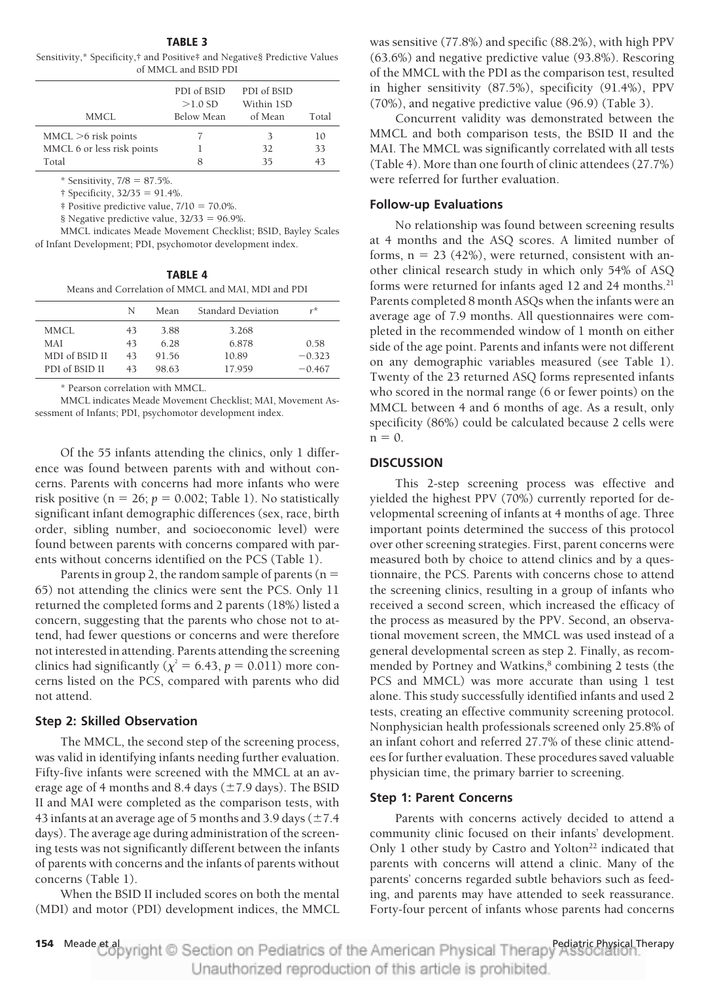**TABLE 3**

Sensitivity,\* Specificity,† and Positive‡ and Negative§ Predictive Values of MMCL and BSID PDI

| PDI of BSID<br>$>1.0$ SD<br>Below Mean | PDI of BSID<br>Within 1SD<br>of Mean | Total |
|----------------------------------------|--------------------------------------|-------|
|                                        | 3                                    | 10    |
|                                        | 32                                   | 33    |
| 8                                      | 35                                   | 43    |
|                                        |                                      |       |

\* Sensitivity,  $7/8 = 87.5\%$ .

 $\dagger$  Specificity, 32/35 = 91.4%.

 $\ddagger$  Positive predictive value,  $7/10 = 70.0\%$ .

§ Negative predictive value,  $32/33 = 96.9\%$ .

MMCL indicates Meade Movement Checklist; BSID, Bayley Scales of Infant Development; PDI, psychomotor development index.

**TABLE 4** Means and Correlation of MMCL and MAI, MDI and PDI

|                | N  | Mean  | Standard Deviation | r*       |
|----------------|----|-------|--------------------|----------|
| MMCL           | 43 | 3.88  | 3.268              |          |
| MAI            | 43 | 6.28  | 6.878              | 0.58     |
| MDI of BSID II | 43 | 91.56 | 10.89              | $-0.323$ |
| PDI of BSID II | 43 | 98.63 | 17.959             | $-0.467$ |

\* Pearson correlation with MMCL.

MMCL indicates Meade Movement Checklist; MAI, Movement Assessment of Infants; PDI, psychomotor development index.

Of the 55 infants attending the clinics, only 1 difference was found between parents with and without concerns. Parents with concerns had more infants who were risk positive ( $n = 26$ ;  $p = 0.002$ ; Table 1). No statistically significant infant demographic differences (sex, race, birth order, sibling number, and socioeconomic level) were found between parents with concerns compared with parents without concerns identified on the PCS (Table 1).

Parents in group 2, the random sample of parents ( $n =$ 65) not attending the clinics were sent the PCS. Only 11 returned the completed forms and 2 parents (18%) listed a concern, suggesting that the parents who chose not to attend, had fewer questions or concerns and were therefore not interested in attending. Parents attending the screening clinics had significantly ( $\chi^2 = 6.43$ ,  $p = 0.011$ ) more concerns listed on the PCS, compared with parents who did not attend.

## **Step 2: Skilled Observation**

The MMCL, the second step of the screening process, was valid in identifying infants needing further evaluation. Fifty-five infants were screened with the MMCL at an average age of 4 months and 8.4 days ( $\pm$  7.9 days). The BSID II and MAI were completed as the comparison tests, with 43 infants at an average age of 5 months and 3.9 days ( $\pm$  7.4 days). The average age during administration of the screening tests was not significantly different between the infants of parents with concerns and the infants of parents without concerns (Table 1).

When the BSID II included scores on both the mental (MDI) and motor (PDI) development indices, the MMCL

was sensitive (77.8%) and specific (88.2%), with high PPV (63.6%) and negative predictive value (93.8%). Rescoring of the MMCL with the PDI as the comparison test, resulted in higher sensitivity (87.5%), specificity (91.4%), PPV (70%), and negative predictive value (96.9) (Table 3).

Concurrent validity was demonstrated between the MMCL and both comparison tests, the BSID II and the MAI. The MMCL was significantly correlated with all tests (Table 4). More than one fourth of clinic attendees (27.7%) were referred for further evaluation.

## **Follow-up Evaluations**

No relationship was found between screening results at 4 months and the ASQ scores. A limited number of forms,  $n = 23$  (42%), were returned, consistent with another clinical research study in which only 54% of ASQ forms were returned for infants aged 12 and 24 months.<sup>21</sup> Parents completed 8 month ASQs when the infants were an average age of 7.9 months. All questionnaires were completed in the recommended window of 1 month on either side of the age point. Parents and infants were not different on any demographic variables measured (see Table 1). Twenty of the 23 returned ASQ forms represented infants who scored in the normal range (6 or fewer points) on the MMCL between 4 and 6 months of age. As a result, only specificity (86%) could be calculated because 2 cells were  $n = 0$ .

#### **DISCUSSION**

This 2-step screening process was effective and yielded the highest PPV (70%) currently reported for developmental screening of infants at 4 months of age. Three important points determined the success of this protocol over other screening strategies. First, parent concerns were measured both by choice to attend clinics and by a questionnaire, the PCS. Parents with concerns chose to attend the screening clinics, resulting in a group of infants who received a second screen, which increased the efficacy of the process as measured by the PPV. Second, an observational movement screen, the MMCL was used instead of a general developmental screen as step 2. Finally, as recommended by Portney and Watkins,<sup>8</sup> combining 2 tests (the PCS and MMCL) was more accurate than using 1 test alone. This study successfully identified infants and used 2 tests, creating an effective community screening protocol. Nonphysician health professionals screened only 25.8% of an infant cohort and referred 27.7% of these clinic attendees for further evaluation. These procedures saved valuable physician time, the primary barrier to screening.

#### **Step 1: Parent Concerns**

Parents with concerns actively decided to attend a community clinic focused on their infants' development. Only 1 other study by Castro and Yolton<sup>22</sup> indicated that parents with concerns will attend a clinic. Many of the parents' concerns regarded subtle behaviors such as feeding, and parents may have attended to seek reassurance. Forty-four percent of infants whose parents had concerns

154 Meade et apyright © Section on Pediatrics of the American Physical Therapy Association. Unauthorized reproduction of this article is prohibited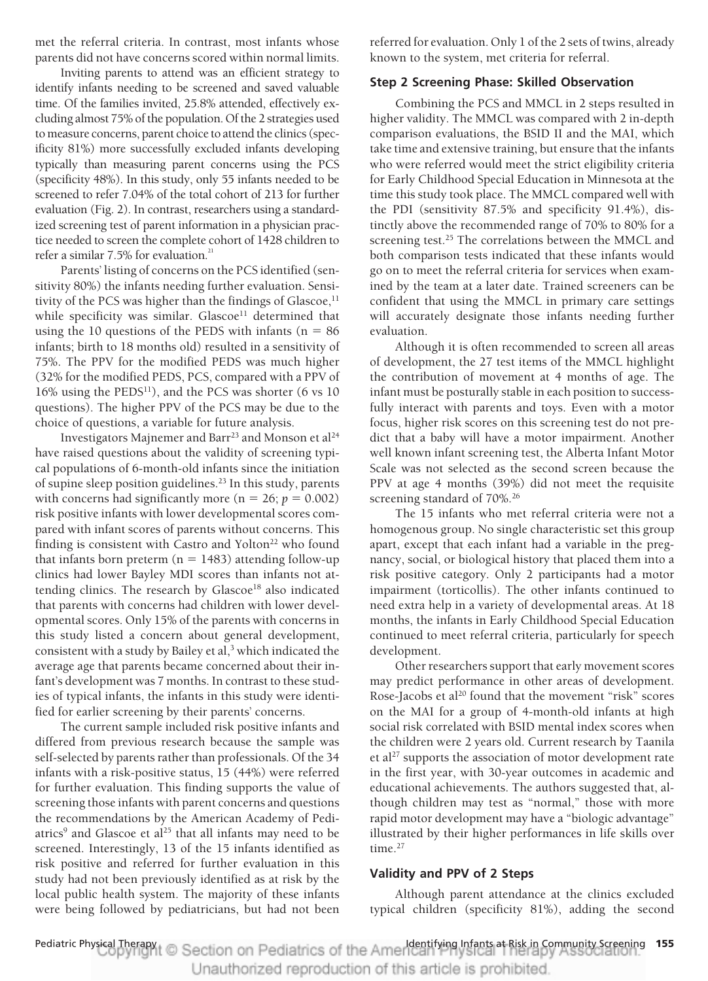met the referral criteria. In contrast, most infants whose parents did not have concerns scored within normal limits.

Inviting parents to attend was an efficient strategy to identify infants needing to be screened and saved valuable time. Of the families invited, 25.8% attended, effectively excluding almost 75% of the population. Of the 2 strategies used to measure concerns, parent choice to attend the clinics (specificity 81%) more successfully excluded infants developing typically than measuring parent concerns using the PCS (specificity 48%). In this study, only 55 infants needed to be screened to refer 7.04% of the total cohort of 213 for further evaluation (Fig. 2). In contrast, researchers using a standardized screening test of parent information in a physician practice needed to screen the complete cohort of 1428 children to refer a similar  $7.5\%$  for evaluation.<sup>21</sup>

Parents' listing of concerns on the PCS identified (sensitivity 80%) the infants needing further evaluation. Sensitivity of the PCS was higher than the findings of Glascoe,<sup>11</sup> while specificity was similar. Glascoe<sup>11</sup> determined that using the 10 questions of the PEDS with infants  $(n = 86$ infants; birth to 18 months old) resulted in a sensitivity of 75%. The PPV for the modified PEDS was much higher (32% for the modified PEDS, PCS, compared with a PPV of  $16\%$  using the PEDS<sup>11</sup>), and the PCS was shorter (6 vs 10) questions). The higher PPV of the PCS may be due to the choice of questions, a variable for future analysis.

Investigators Majnemer and Barr<sup>23</sup> and Monson et al<sup>24</sup> have raised questions about the validity of screening typical populations of 6-month-old infants since the initiation of supine sleep position guidelines.<sup>23</sup> In this study, parents with concerns had significantly more ( $n = 26$ ;  $p = 0.002$ ) risk positive infants with lower developmental scores compared with infant scores of parents without concerns. This finding is consistent with Castro and Yolton<sup>22</sup> who found that infants born preterm ( $n = 1483$ ) attending follow-up clinics had lower Bayley MDI scores than infants not attending clinics. The research by Glascoe<sup>18</sup> also indicated that parents with concerns had children with lower developmental scores. Only 15% of the parents with concerns in this study listed a concern about general development, consistent with a study by Bailey et al,<sup>3</sup> which indicated the average age that parents became concerned about their infant's development was 7 months. In contrast to these studies of typical infants, the infants in this study were identified for earlier screening by their parents' concerns.

The current sample included risk positive infants and differed from previous research because the sample was self-selected by parents rather than professionals. Of the 34 infants with a risk-positive status, 15 (44%) were referred for further evaluation. This finding supports the value of screening those infants with parent concerns and questions the recommendations by the American Academy of Pediatrics<sup>9</sup> and Glascoe et al<sup>25</sup> that all infants may need to be screened. Interestingly, 13 of the 15 infants identified as risk positive and referred for further evaluation in this study had not been previously identified as at risk by the local public health system. The majority of these infants were being followed by pediatricians, but had not been

referred for evaluation. Only 1 of the 2 sets of twins, already known to the system, met criteria for referral.

# **Step 2 Screening Phase: Skilled Observation**

Combining the PCS and MMCL in 2 steps resulted in higher validity. The MMCL was compared with 2 in-depth comparison evaluations, the BSID II and the MAI, which take time and extensive training, but ensure that the infants who were referred would meet the strict eligibility criteria for Early Childhood Special Education in Minnesota at the time this study took place. The MMCL compared well with the PDI (sensitivity 87.5% and specificity 91.4%), distinctly above the recommended range of 70% to 80% for a screening test.<sup>25</sup> The correlations between the MMCL and both comparison tests indicated that these infants would go on to meet the referral criteria for services when examined by the team at a later date. Trained screeners can be confident that using the MMCL in primary care settings will accurately designate those infants needing further evaluation.

Although it is often recommended to screen all areas of development, the 27 test items of the MMCL highlight the contribution of movement at 4 months of age. The infant must be posturally stable in each position to successfully interact with parents and toys. Even with a motor focus, higher risk scores on this screening test do not predict that a baby will have a motor impairment. Another well known infant screening test, the Alberta Infant Motor Scale was not selected as the second screen because the PPV at age 4 months (39%) did not meet the requisite screening standard of 70%.<sup>26</sup>

The 15 infants who met referral criteria were not a homogenous group. No single characteristic set this group apart, except that each infant had a variable in the pregnancy, social, or biological history that placed them into a risk positive category. Only 2 participants had a motor impairment (torticollis). The other infants continued to need extra help in a variety of developmental areas. At 18 months, the infants in Early Childhood Special Education continued to meet referral criteria, particularly for speech development.

Other researchers support that early movement scores may predict performance in other areas of development. Rose-Jacobs et al<sup>20</sup> found that the movement "risk" scores on the MAI for a group of 4-month-old infants at high social risk correlated with BSID mental index scores when the children were 2 years old. Current research by Taanila et al<sup>27</sup> supports the association of motor development rate in the first year, with 30-year outcomes in academic and educational achievements. The authors suggested that, although children may test as "normal," those with more rapid motor development may have a "biologic advantage" illustrated by their higher performances in life skills over time. $27$ 

## **Validity and PPV of 2 Steps**

Although parent attendance at the clinics excluded typical children (specificity 81%), adding the second

Pediatric Physical Therapy I<sub>dentify</sub> Conservation on Pediatrics of the American Infants at Risk in Community Screening 155 Unauthorized reproduction of this article is prohibited.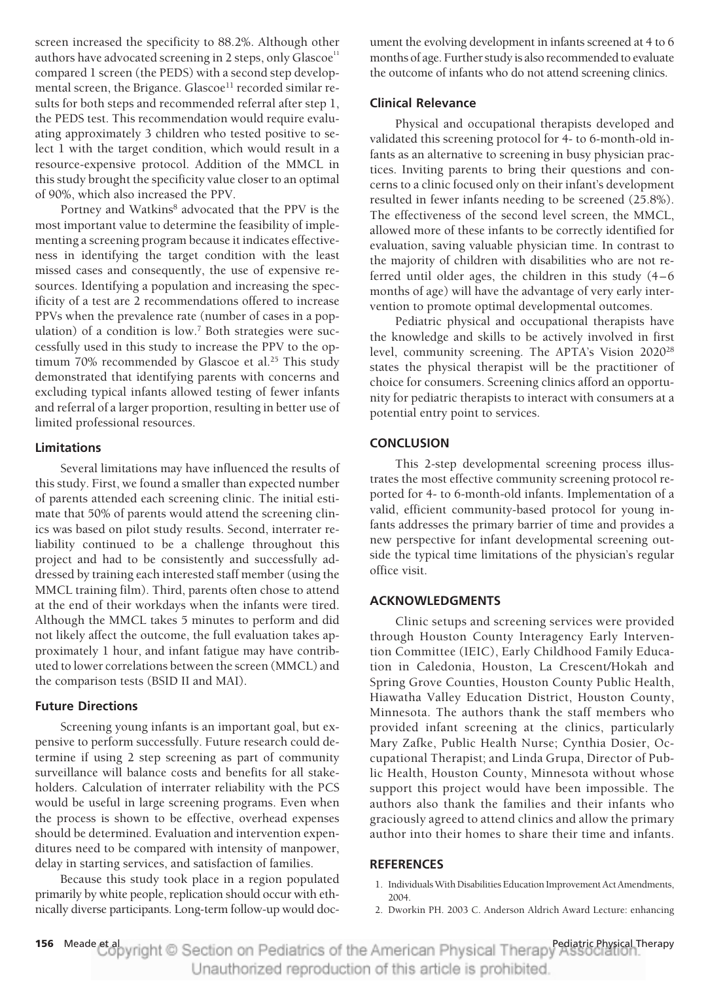screen increased the specificity to 88.2%. Although other authors have advocated screening in 2 steps, only  $Glascoe<sup>11</sup>$ compared 1 screen (the PEDS) with a second step developmental screen, the Brigance. Glascoe<sup>11</sup> recorded similar results for both steps and recommended referral after step 1, the PEDS test. This recommendation would require evaluating approximately 3 children who tested positive to select 1 with the target condition, which would result in a resource-expensive protocol. Addition of the MMCL in this study brought the specificity value closer to an optimal of 90%, which also increased the PPV.

Portney and Watkins<sup>8</sup> advocated that the PPV is the most important value to determine the feasibility of implementing a screening program because it indicates effectiveness in identifying the target condition with the least missed cases and consequently, the use of expensive resources. Identifying a population and increasing the specificity of a test are 2 recommendations offered to increase PPVs when the prevalence rate (number of cases in a population) of a condition is low.<sup>7</sup> Both strategies were successfully used in this study to increase the PPV to the optimum 70% recommended by Glascoe et al.<sup>25</sup> This study demonstrated that identifying parents with concerns and excluding typical infants allowed testing of fewer infants and referral of a larger proportion, resulting in better use of limited professional resources.

## **Limitations**

Several limitations may have influenced the results of this study. First, we found a smaller than expected number of parents attended each screening clinic. The initial estimate that 50% of parents would attend the screening clinics was based on pilot study results. Second, interrater reliability continued to be a challenge throughout this project and had to be consistently and successfully addressed by training each interested staff member (using the MMCL training film). Third, parents often chose to attend at the end of their workdays when the infants were tired. Although the MMCL takes 5 minutes to perform and did not likely affect the outcome, the full evaluation takes approximately 1 hour, and infant fatigue may have contributed to lower correlations between the screen (MMCL) and the comparison tests (BSID II and MAI).

# **Future Directions**

Screening young infants is an important goal, but expensive to perform successfully. Future research could determine if using 2 step screening as part of community surveillance will balance costs and benefits for all stakeholders. Calculation of interrater reliability with the PCS would be useful in large screening programs. Even when the process is shown to be effective, overhead expenses should be determined. Evaluation and intervention expenditures need to be compared with intensity of manpower, delay in starting services, and satisfaction of families.

Because this study took place in a region populated primarily by white people, replication should occur with ethnically diverse participants. Long-term follow-up would document the evolving development in infants screened at 4 to 6 months of age. Further study is also recommended to evaluate the outcome of infants who do not attend screening clinics.

## **Clinical Relevance**

Physical and occupational therapists developed and validated this screening protocol for 4- to 6-month-old infants as an alternative to screening in busy physician practices. Inviting parents to bring their questions and concerns to a clinic focused only on their infant's development resulted in fewer infants needing to be screened (25.8%). The effectiveness of the second level screen, the MMCL, allowed more of these infants to be correctly identified for evaluation, saving valuable physician time. In contrast to the majority of children with disabilities who are not referred until older ages, the children in this study  $(4-6)$ months of age) will have the advantage of very early intervention to promote optimal developmental outcomes.

Pediatric physical and occupational therapists have the knowledge and skills to be actively involved in first level, community screening. The APTA's Vision 2020<sup>28</sup> states the physical therapist will be the practitioner of choice for consumers. Screening clinics afford an opportunity for pediatric therapists to interact with consumers at a potential entry point to services.

# **CONCLUSION**

This 2-step developmental screening process illustrates the most effective community screening protocol reported for 4- to 6-month-old infants. Implementation of a valid, efficient community-based protocol for young infants addresses the primary barrier of time and provides a new perspective for infant developmental screening outside the typical time limitations of the physician's regular office visit.

# **ACKNOWLEDGMENTS**

Clinic setups and screening services were provided through Houston County Interagency Early Intervention Committee (IEIC), Early Childhood Family Education in Caledonia, Houston, La Crescent/Hokah and Spring Grove Counties, Houston County Public Health, Hiawatha Valley Education District, Houston County, Minnesota. The authors thank the staff members who provided infant screening at the clinics, particularly Mary Zafke, Public Health Nurse; Cynthia Dosier, Occupational Therapist; and Linda Grupa, Director of Public Health, Houston County, Minnesota without whose support this project would have been impossible. The authors also thank the families and their infants who graciously agreed to attend clinics and allow the primary author into their homes to share their time and infants.

#### **REFERENCES**

- 1. IndividualsWith Disabilities Education Improvement Act Amendments, 2004.
- 2. Dworkin PH. 2003 C. Anderson Aldrich Award Lecture: enhancing

156 Meade et apyright © Section on Pediatrics of the American Physical Therapy Association. Unauthorized reproduction of this article is prohibited